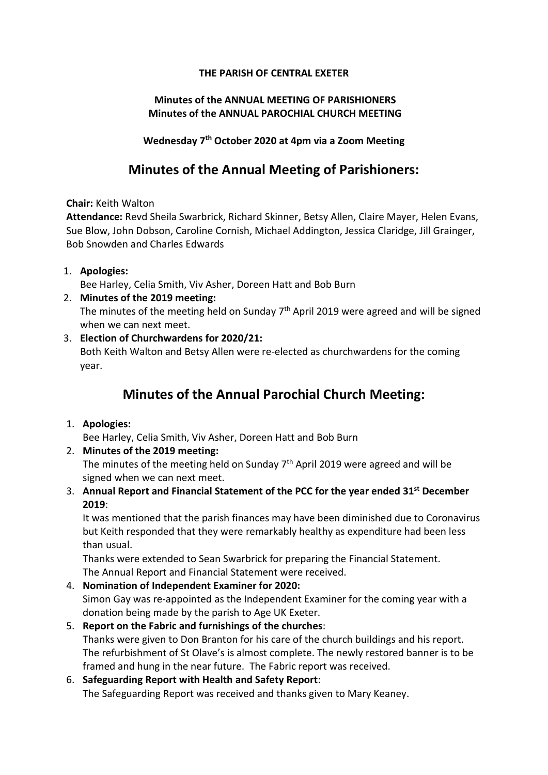#### THE PARISH OF CENTRAL EXETER

#### Minutes of the ANNUAL MEETING OF PARISHIONERS Minutes of the ANNUAL PAROCHIAL CHURCH MEETING

Wednesday 7th October 2020 at 4pm via a Zoom Meeting

# Minutes of the Annual Meeting of Parishioners:

Chair: Keith Walton

Attendance: Revd Sheila Swarbrick, Richard Skinner, Betsy Allen, Claire Mayer, Helen Evans, Sue Blow, John Dobson, Caroline Cornish, Michael Addington, Jessica Claridge, Jill Grainger, Bob Snowden and Charles Edwards

#### 1. Apologies:

Bee Harley, Celia Smith, Viv Asher, Doreen Hatt and Bob Burn

#### 2. Minutes of the 2019 meeting:

The minutes of the meeting held on Sunday  $7<sup>th</sup>$  April 2019 were agreed and will be signed when we can next meet.

#### 3. Election of Churchwardens for 2020/21:

Both Keith Walton and Betsy Allen were re-elected as churchwardens for the coming year.

# Minutes of the Annual Parochial Church Meeting:

1. Apologies:

Bee Harley, Celia Smith, Viv Asher, Doreen Hatt and Bob Burn

2. Minutes of the 2019 meeting:

The minutes of the meeting held on Sunday  $7<sup>th</sup>$  April 2019 were agreed and will be signed when we can next meet.

3. Annual Report and Financial Statement of the PCC for the year ended 31<sup>st</sup> December 2019:

It was mentioned that the parish finances may have been diminished due to Coronavirus but Keith responded that they were remarkably healthy as expenditure had been less than usual.

Thanks were extended to Sean Swarbrick for preparing the Financial Statement. The Annual Report and Financial Statement were received.

- 4. Nomination of Independent Examiner for 2020: Simon Gay was re-appointed as the Independent Examiner for the coming year with a donation being made by the parish to Age UK Exeter.
- 5. Report on the Fabric and furnishings of the churches: Thanks were given to Don Branton for his care of the church buildings and his report. The refurbishment of St Olave's is almost complete. The newly restored banner is to be framed and hung in the near future. The Fabric report was received.

## 6. Safeguarding Report with Health and Safety Report: The Safeguarding Report was received and thanks given to Mary Keaney.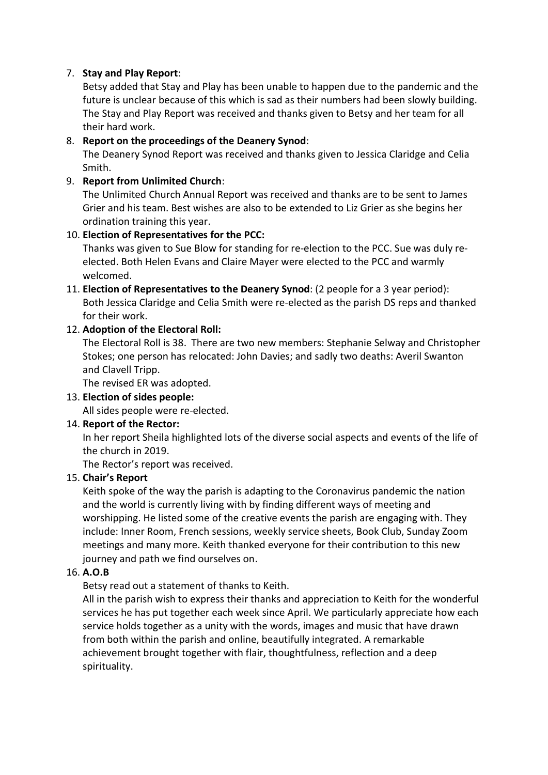#### 7. Stay and Play Report:

Betsy added that Stay and Play has been unable to happen due to the pandemic and the future is unclear because of this which is sad as their numbers had been slowly building. The Stay and Play Report was received and thanks given to Betsy and her team for all their hard work.

#### 8. Report on the proceedings of the Deanery Synod:

The Deanery Synod Report was received and thanks given to Jessica Claridge and Celia Smith.

#### 9. Report from Unlimited Church:

The Unlimited Church Annual Report was received and thanks are to be sent to James Grier and his team. Best wishes are also to be extended to Liz Grier as she begins her ordination training this year.

#### 10. Election of Representatives for the PCC:

Thanks was given to Sue Blow for standing for re-election to the PCC. Sue was duly reelected. Both Helen Evans and Claire Mayer were elected to the PCC and warmly welcomed.

11. Election of Representatives to the Deanery Synod: (2 people for a 3 year period): Both Jessica Claridge and Celia Smith were re-elected as the parish DS reps and thanked for their work.

## 12. Adoption of the Electoral Roll:

The Electoral Roll is 38. There are two new members: Stephanie Selway and Christopher Stokes; one person has relocated: John Davies; and sadly two deaths: Averil Swanton and Clavell Tripp.

The revised ER was adopted.

#### 13. Election of sides people:

All sides people were re-elected.

## 14. Report of the Rector:

In her report Sheila highlighted lots of the diverse social aspects and events of the life of the church in 2019.

The Rector's report was received.

#### 15. Chair's Report

Keith spoke of the way the parish is adapting to the Coronavirus pandemic the nation and the world is currently living with by finding different ways of meeting and worshipping. He listed some of the creative events the parish are engaging with. They include: Inner Room, French sessions, weekly service sheets, Book Club, Sunday Zoom meetings and many more. Keith thanked everyone for their contribution to this new journey and path we find ourselves on.

#### 16. A.O.B

Betsy read out a statement of thanks to Keith.

All in the parish wish to express their thanks and appreciation to Keith for the wonderful services he has put together each week since April. We particularly appreciate how each service holds together as a unity with the words, images and music that have drawn from both within the parish and online, beautifully integrated. A remarkable achievement brought together with flair, thoughtfulness, reflection and a deep spirituality.